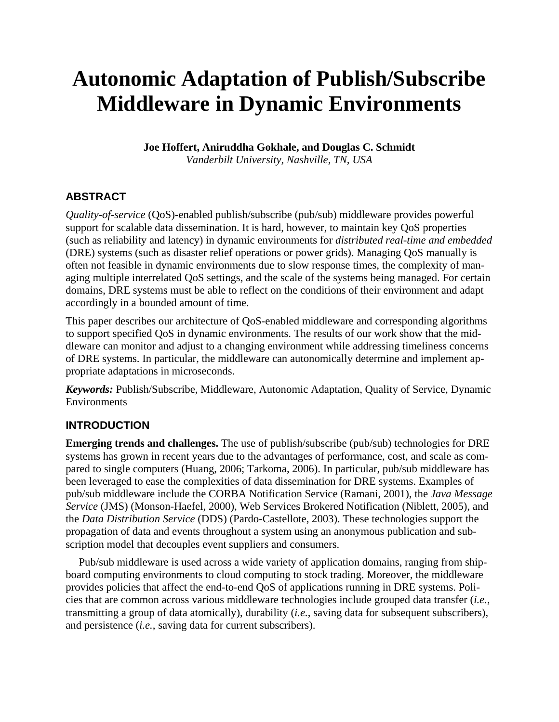# **Autonomic Adaptation of Publish/Subscribe Middleware in Dynamic Environments**

**Joe Hoffert, Aniruddha Gokhale, and Douglas C. Schmidt**

*Vanderbilt University, Nashville, TN, USA*

# **ABSTRACT**

*Quality-of-service* (QoS)-enabled publish/subscribe (pub/sub) middleware provides powerful support for scalable data dissemination. It is hard, however, to maintain key QoS properties (such as reliability and latency) in dynamic environments for *distributed real-time and embedded* (DRE) systems (such as disaster relief operations or power grids). Managing QoS manually is often not feasible in dynamic environments due to slow response times, the complexity of managing multiple interrelated QoS settings, and the scale of the systems being managed. For certain domains, DRE systems must be able to reflect on the conditions of their environment and adapt accordingly in a bounded amount of time.

This paper describes our architecture of QoS-enabled middleware and corresponding algorithms to support specified QoS in dynamic environments. The results of our work show that the middleware can monitor and adjust to a changing environment while addressing timeliness concerns of DRE systems. In particular, the middleware can autonomically determine and implement appropriate adaptations in microseconds.

*Keywords:* Publish/Subscribe, Middleware, Autonomic Adaptation, Quality of Service, Dynamic Environments

## **INTRODUCTION**

**Emerging trends and challenges.** The use of publish/subscribe (pub/sub) technologies for DRE systems has grown in recent years due to the advantages of performance, cost, and scale as compared to single computers (Huang, 2006; Tarkoma, 2006). In particular, pub/sub middleware has been leveraged to ease the complexities of data dissemination for DRE systems. Examples of pub/sub middleware include the CORBA Notification Service (Ramani, 2001), the *Java Message Service* (JMS) (Monson-Haefel, 2000), Web Services Brokered Notification (Niblett, 2005), and the *Data Distribution Service* (DDS) (Pardo-Castellote, 2003). These technologies support the propagation of data and events throughout a system using an anonymous publication and subscription model that decouples event suppliers and consumers.

Pub/sub middleware is used across a wide variety of application domains, ranging from shipboard computing environments to cloud computing to stock trading. Moreover, the middleware provides policies that affect the end-to-end QoS of applications running in DRE systems. Policies that are common across various middleware technologies include grouped data transfer (*i.e.*, transmitting a group of data atomically), durability (*i.e.*, saving data for subsequent subscribers), and persistence (*i.e.*, saving data for current subscribers).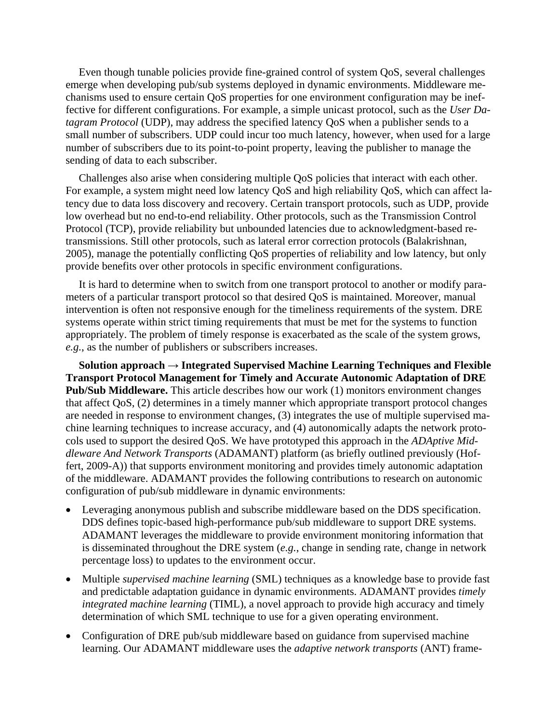Even though tunable policies provide fine-grained control of system QoS, several challenges emerge when developing pub/sub systems deployed in dynamic environments. Middleware mechanisms used to ensure certain QoS properties for one environment configuration may be ineffective for different configurations. For example, a simple unicast protocol, such as the *User Datagram Protocol* (UDP), may address the specified latency QoS when a publisher sends to a small number of subscribers. UDP could incur too much latency, however, when used for a large number of subscribers due to its point-to-point property, leaving the publisher to manage the sending of data to each subscriber.

Challenges also arise when considering multiple QoS policies that interact with each other. For example, a system might need low latency QoS and high reliability QoS, which can affect latency due to data loss discovery and recovery. Certain transport protocols, such as UDP, provide low overhead but no end-to-end reliability. Other protocols, such as the Transmission Control Protocol (TCP), provide reliability but unbounded latencies due to acknowledgment-based retransmissions. Still other protocols, such as lateral error correction protocols (Balakrishnan, 2005), manage the potentially conflicting QoS properties of reliability and low latency, but only provide benefits over other protocols in specific environment configurations.

It is hard to determine when to switch from one transport protocol to another or modify parameters of a particular transport protocol so that desired QoS is maintained. Moreover, manual intervention is often not responsive enough for the timeliness requirements of the system. DRE systems operate within strict timing requirements that must be met for the systems to function appropriately. The problem of timely response is exacerbated as the scale of the system grows, *e.g.*, as the number of publishers or subscribers increases.

**Solution approach → Integrated Supervised Machine Learning Techniques and Flexible Transport Protocol Management for Timely and Accurate Autonomic Adaptation of DRE Pub/Sub Middleware.** This article describes how our work (1) monitors environment changes that affect QoS, (2) determines in a timely manner which appropriate transport protocol changes are needed in response to environment changes, (3) integrates the use of multiple supervised machine learning techniques to increase accuracy, and (4) autonomically adapts the network protocols used to support the desired QoS. We have prototyped this approach in the *ADAptive Middleware And Network Transports* (ADAMANT) platform (as briefly outlined previously (Hoffert, 2009-A)) that supports environment monitoring and provides timely autonomic adaptation of the middleware. ADAMANT provides the following contributions to research on autonomic configuration of pub/sub middleware in dynamic environments:

- Leveraging anonymous publish and subscribe middleware based on the DDS specification. DDS defines topic-based high-performance pub/sub middleware to support DRE systems. ADAMANT leverages the middleware to provide environment monitoring information that is disseminated throughout the DRE system (*e.g.*, change in sending rate, change in network percentage loss) to updates to the environment occur.
- Multiple *supervised machine learning* (SML) techniques as a knowledge base to provide fast and predictable adaptation guidance in dynamic environments. ADAMANT provides *timely integrated machine learning* (TIML), a novel approach to provide high accuracy and timely determination of which SML technique to use for a given operating environment.
- Configuration of DRE pub/sub middleware based on guidance from supervised machine learning. Our ADAMANT middleware uses the *adaptive network transports* (ANT) frame-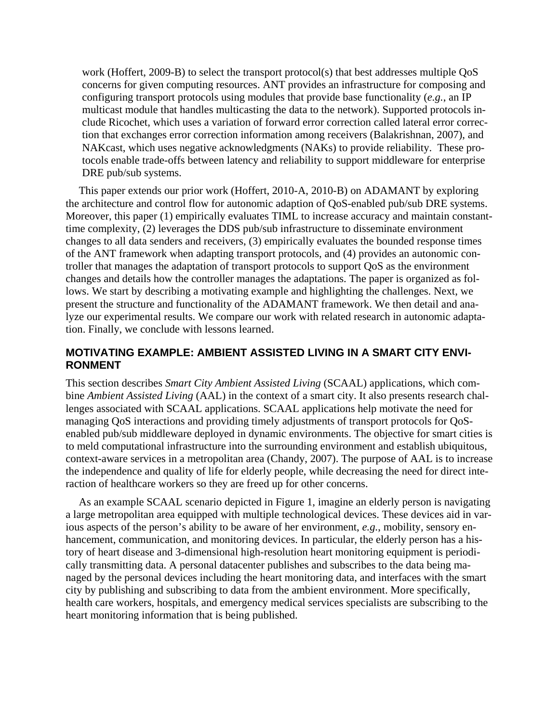work (Hoffert, 2009-B) to select the transport protocol(s) that best addresses multiple QoS concerns for given computing resources. ANT provides an infrastructure for composing and configuring transport protocols using modules that provide base functionality (*e.g.*, an IP multicast module that handles multicasting the data to the network). Supported protocols include Ricochet, which uses a variation of forward error correction called lateral error correction that exchanges error correction information among receivers (Balakrishnan, 2007), and NAKcast, which uses negative acknowledgments (NAKs) to provide reliability. These protocols enable trade-offs between latency and reliability to support middleware for enterprise DRE pub/sub systems.

This paper extends our prior work (Hoffert, 2010-A, 2010-B) on ADAMANT by exploring the architecture and control flow for autonomic adaption of QoS-enabled pub/sub DRE systems. Moreover, this paper (1) empirically evaluates TIML to increase accuracy and maintain constanttime complexity, (2) leverages the DDS pub/sub infrastructure to disseminate environment changes to all data senders and receivers, (3) empirically evaluates the bounded response times of the ANT framework when adapting transport protocols, and (4) provides an autonomic controller that manages the adaptation of transport protocols to support QoS as the environment changes and details how the controller manages the adaptations. The paper is organized as follows. We start by describing a motivating example and highlighting the challenges. Next, we present the structure and functionality of the ADAMANT framework. We then detail and analyze our experimental results. We compare our work with related research in autonomic adaptation. Finally, we conclude with lessons learned.

## **MOTIVATING EXAMPLE: AMBIENT ASSISTED LIVING IN A SMART CITY ENVI-RONMENT**

This section describes *Smart City Ambient Assisted Living* (SCAAL) applications, which combine *Ambient Assisted Living* (AAL) in the context of a smart city. It also presents research challenges associated with SCAAL applications. SCAAL applications help motivate the need for managing QoS interactions and providing timely adjustments of transport protocols for QoSenabled pub/sub middleware deployed in dynamic environments. The objective for smart cities is to meld computational infrastructure into the surrounding environment and establish ubiquitous, context-aware services in a metropolitan area (Chandy, 2007). The purpose of AAL is to increase the independence and quality of life for elderly people, while decreasing the need for direct interaction of healthcare workers so they are freed up for other concerns.

As an example SCAAL scenario depicted in [Figure 1,](#page-3-0) imagine an elderly person is navigating a large metropolitan area equipped with multiple technological devices. These devices aid in various aspects of the person's ability to be aware of her environment, *e.g.*, mobility, sensory enhancement, communication, and monitoring devices. In particular, the elderly person has a history of heart disease and 3-dimensional high-resolution heart monitoring equipment is periodically transmitting data. A personal datacenter publishes and subscribes to the data being managed by the personal devices including the heart monitoring data, and interfaces with the smart city by publishing and subscribing to data from the ambient environment. More specifically, health care workers, hospitals, and emergency medical services specialists are subscribing to the heart monitoring information that is being published.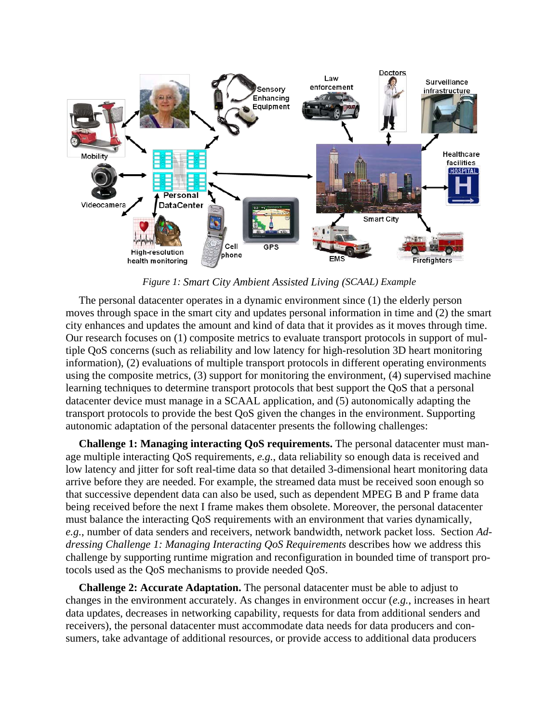

*Figure 1: Smart City Ambient Assisted Living (SCAAL) Example*

<span id="page-3-0"></span>The personal datacenter operates in a dynamic environment since (1) the elderly person moves through space in the smart city and updates personal information in time and (2) the smart city enhances and updates the amount and kind of data that it provides as it moves through time. Our research focuses on (1) composite metrics to evaluate transport protocols in support of multiple QoS concerns (such as reliability and low latency for high-resolution 3D heart monitoring information), (2) evaluations of multiple transport protocols in different operating environments using the composite metrics, (3) support for monitoring the environment, (4) supervised machine learning techniques to determine transport protocols that best support the QoS that a personal datacenter device must manage in a SCAAL application, and (5) autonomically adapting the transport protocols to provide the best QoS given the changes in the environment. Supporting autonomic adaptation of the personal datacenter presents the following challenges:

**Challenge 1: Managing interacting QoS requirements.** The personal datacenter must manage multiple interacting QoS requirements, *e.g.*, data reliability so enough data is received and low latency and jitter for soft real-time data so that detailed 3-dimensional heart monitoring data arrive before they are needed. For example, the streamed data must be received soon enough so that successive dependent data can also be used, such as dependent MPEG B and P frame data being received before the next I frame makes them obsolete. Moreover, the personal datacenter must balance the interacting QoS requirements with an environment that varies dynamically, *e.g.*, number of data senders and receivers, network bandwidth, network packet loss. Section *Addressing Challenge 1: Managing Interacting QoS Requirements* describes how we address this challenge by supporting runtime migration and reconfiguration in bounded time of transport protocols used as the QoS mechanisms to provide needed QoS.

**Challenge 2: Accurate Adaptation.** The personal datacenter must be able to adjust to changes in the environment accurately. As changes in environment occur (*e.g.*, increases in heart data updates, decreases in networking capability, requests for data from additional senders and receivers), the personal datacenter must accommodate data needs for data producers and consumers, take advantage of additional resources, or provide access to additional data producers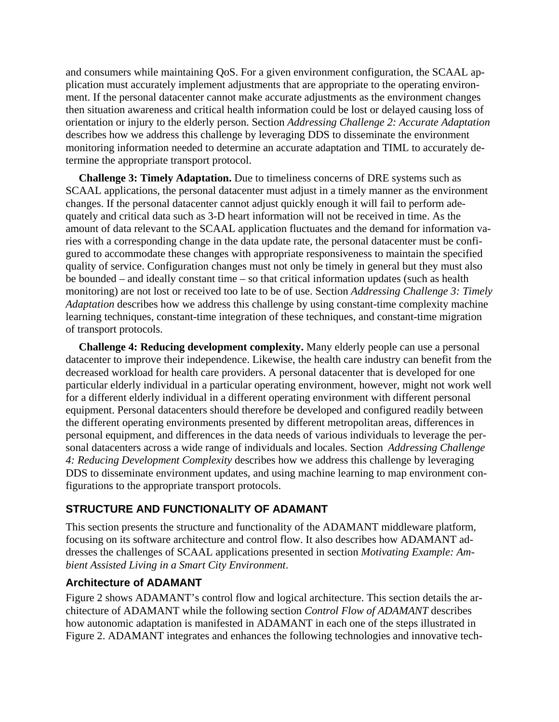and consumers while maintaining QoS. For a given environment configuration, the SCAAL application must accurately implement adjustments that are appropriate to the operating environment. If the personal datacenter cannot make accurate adjustments as the environment changes then situation awareness and critical health information could be lost or delayed causing loss of orientation or injury to the elderly person. Section *Addressing Challenge 2: Accurate Adaptation* describes how we address this challenge by leveraging DDS to disseminate the environment monitoring information needed to determine an accurate adaptation and TIML to accurately determine the appropriate transport protocol.

**Challenge 3: Timely Adaptation.** Due to timeliness concerns of DRE systems such as SCAAL applications, the personal datacenter must adjust in a timely manner as the environment changes. If the personal datacenter cannot adjust quickly enough it will fail to perform adequately and critical data such as 3-D heart information will not be received in time. As the amount of data relevant to the SCAAL application fluctuates and the demand for information varies with a corresponding change in the data update rate, the personal datacenter must be configured to accommodate these changes with appropriate responsiveness to maintain the specified quality of service. Configuration changes must not only be timely in general but they must also be bounded – and ideally constant time – so that critical information updates (such as health monitoring) are not lost or received too late to be of use. Section *Addressing Challenge 3: Timely Adaptation* describes how we address this challenge by using constant-time complexity machine learning techniques, constant-time integration of these techniques, and constant-time migration of transport protocols.

**Challenge 4: Reducing development complexity.** Many elderly people can use a personal datacenter to improve their independence. Likewise, the health care industry can benefit from the decreased workload for health care providers. A personal datacenter that is developed for one particular elderly individual in a particular operating environment, however, might not work well for a different elderly individual in a different operating environment with different personal equipment. Personal datacenters should therefore be developed and configured readily between the different operating environments presented by different metropolitan areas, differences in personal equipment, and differences in the data needs of various individuals to leverage the personal datacenters across a wide range of individuals and locales. Section *Addressing Challenge 4: Reducing Development Complexity* describes how we address this challenge by leveraging DDS to disseminate environment updates, and using machine learning to map environment configurations to the appropriate transport protocols.

# **STRUCTURE AND FUNCTIONALITY OF ADAMANT**

This section presents the structure and functionality of the ADAMANT middleware platform, focusing on its software architecture and control flow. It also describes how ADAMANT addresses the challenges of SCAAL applications presented in section *Motivating Example: Ambient Assisted Living in a Smart City Environment*.

## **Architecture of ADAMANT**

[Figure 2](#page-5-0) shows ADAMANT's control flow and logical architecture. This section details the architecture of ADAMANT while the following section *Control Flow of ADAMANT* describes how autonomic adaptation is manifested in ADAMANT in each one of the steps illustrated in [Figure 2.](#page-5-0) ADAMANT integrates and enhances the following technologies and innovative tech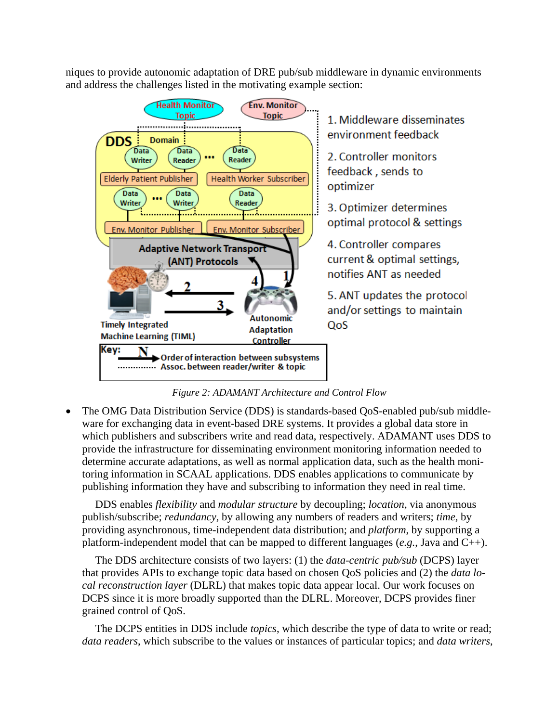niques to provide autonomic adaptation of DRE pub/sub middleware in dynamic environments and address the challenges listed in the motivating example section:



*Figure 2: ADAMANT Architecture and Control Flow*

<span id="page-5-0"></span>• The OMG Data Distribution Service (DDS) is standards-based QoS-enabled pub/sub middleware for exchanging data in event-based DRE systems. It provides a global data store in which publishers and subscribers write and read data, respectively. ADAMANT uses DDS to provide the infrastructure for disseminating environment monitoring information needed to determine accurate adaptations, as well as normal application data, such as the health monitoring information in SCAAL applications. DDS enables applications to communicate by publishing information they have and subscribing to information they need in real time.

DDS enables *flexibility* and *modular structure* by decoupling; *location*, via anonymous publish/subscribe; *redundancy*, by allowing any numbers of readers and writers; *time*, by providing asynchronous, time-independent data distribution; and *platform*, by supporting a platform-independent model that can be mapped to different languages (*e.g.*, Java and C++).

The DDS architecture consists of two layers: (1) the *data-centric pub/sub* (DCPS) layer that provides APIs to exchange topic data based on chosen QoS policies and (2) the *data local reconstruction layer* (DLRL) that makes topic data appear local. Our work focuses on DCPS since it is more broadly supported than the DLRL. Moreover, DCPS provides finer grained control of QoS.

The DCPS entities in DDS include *topics*, which describe the type of data to write or read; *data readers*, which subscribe to the values or instances of particular topics; and *data writers*,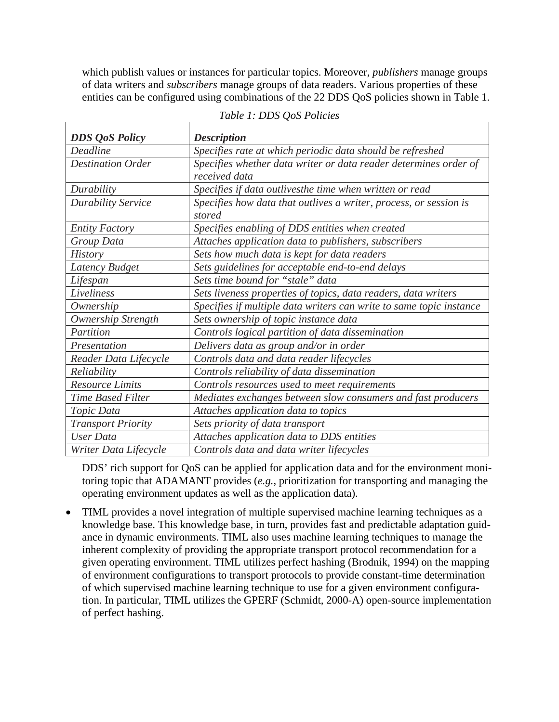which publish values or instances for particular topics. Moreover, *publishers* manage groups of data writers and *subscribers* manage groups of data readers. Various properties of these entities can be configured using combinations of the 22 DDS QoS policies shown in Table 1.

| <b>DDS QoS Policy</b>     | <b>Description</b>                                                                |
|---------------------------|-----------------------------------------------------------------------------------|
| Deadline                  | Specifies rate at which periodic data should be refreshed                         |
| <b>Destination Order</b>  | Specifies whether data writer or data reader determines order of<br>received data |
| Durability                | Specifies if data outlivesthe time when written or read                           |
|                           |                                                                                   |
| <b>Durability Service</b> | Specifies how data that outlives a writer, process, or session is<br>stored       |
| <b>Entity Factory</b>     | Specifies enabling of DDS entities when created                                   |
| Group Data                | Attaches application data to publishers, subscribers                              |
| <b>History</b>            | Sets how much data is kept for data readers                                       |
| Latency Budget            | Sets guidelines for acceptable end-to-end delays                                  |
| Lifespan                  | Sets time bound for "stale" data                                                  |
| Liveliness                | Sets liveness properties of topics, data readers, data writers                    |
| Ownership                 | Specifies if multiple data writers can write to same topic instance               |
| <b>Ownership Strength</b> | Sets ownership of topic instance data                                             |
| Partition                 | Controls logical partition of data dissemination                                  |
| Presentation              | Delivers data as group and/or in order                                            |
| Reader Data Lifecycle     | Controls data and data reader lifecycles                                          |
| Reliability               | Controls reliability of data dissemination                                        |
| <b>Resource Limits</b>    | Controls resources used to meet requirements                                      |
| <b>Time Based Filter</b>  | Mediates exchanges between slow consumers and fast producers                      |
| Topic Data                | Attaches application data to topics                                               |
| <b>Transport Priority</b> | Sets priority of data transport                                                   |
| User Data                 | Attaches application data to DDS entities                                         |
| Writer Data Lifecycle     | Controls data and data writer lifecycles                                          |

*Table 1: DDS QoS Policies*

DDS' rich support for QoS can be applied for application data and for the environment monitoring topic that ADAMANT provides (*e.g.*, prioritization for transporting and managing the operating environment updates as well as the application data).

• TIML provides a novel integration of multiple supervised machine learning techniques as a knowledge base. This knowledge base, in turn, provides fast and predictable adaptation guidance in dynamic environments. TIML also uses machine learning techniques to manage the inherent complexity of providing the appropriate transport protocol recommendation for a given operating environment. TIML utilizes perfect hashing (Brodnik, 1994) on the mapping of environment configurations to transport protocols to provide constant-time determination of which supervised machine learning technique to use for a given environment configuration. In particular, TIML utilizes the GPERF (Schmidt, 2000-A) open-source implementation of perfect hashing.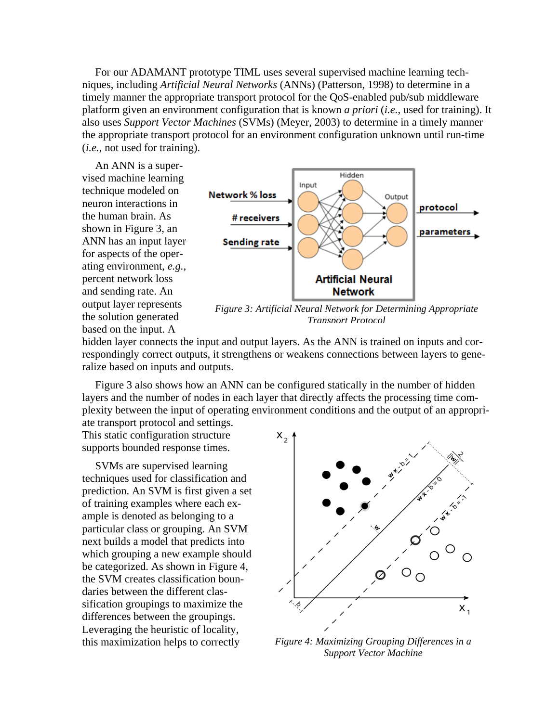For our ADAMANT prototype TIML uses several supervised machine learning techniques, including *Artificial Neural Networks* (ANNs) (Patterson, 1998) to determine in a timely manner the appropriate transport protocol for the QoS-enabled pub/sub middleware platform given an environment configuration that is known *a priori* (*i.e.*, used for training). It also uses *Support Vector Machines* (SVMs) (Meyer, 2003) to determine in a timely manner the appropriate transport protocol for an environment configuration unknown until run-time (*i.e.*, not used for training).

An ANN is a supervised machine learning technique modeled on neuron interactions in the human brain. As shown in [Figure 3,](#page-7-0) an ANN has an input layer for aspects of the operating environment, *e.g.*, percent network loss and sending rate. An output layer represents the solution generated based on the input. A



<span id="page-7-0"></span>*Figure 3: Artificial Neural Network for Determining Appropriate Transport Protocol*

hidden layer connects the input and output layers. As the ANN is trained on inputs and correspondingly correct outputs, it strengthens or weakens connections between layers to generalize based on inputs and outputs.

[Figure 3](#page-7-0) also shows how an ANN can be configured statically in the number of hidden layers and the number of nodes in each layer that directly affects the processing time complexity between the input of operating environment conditions and the output of an appropri-

ate transport protocol and settings. This static configuration structure supports bounded response times.

SVMs are supervised learning techniques used for classification and prediction. An SVM is first given a set of training examples where each example is denoted as belonging to a particular class or grouping. An SVM next builds a model that predicts into which grouping a new example should be categorized. As shown in [Figure 4,](#page-7-1) the SVM creates classification boundaries between the different classification groupings to maximize the differences between the groupings. Leveraging the heuristic of locality, this maximization helps to correctly *Figure 4: Maximizing Grouping Differences in a* 



<span id="page-7-1"></span>*Support Vector Machine*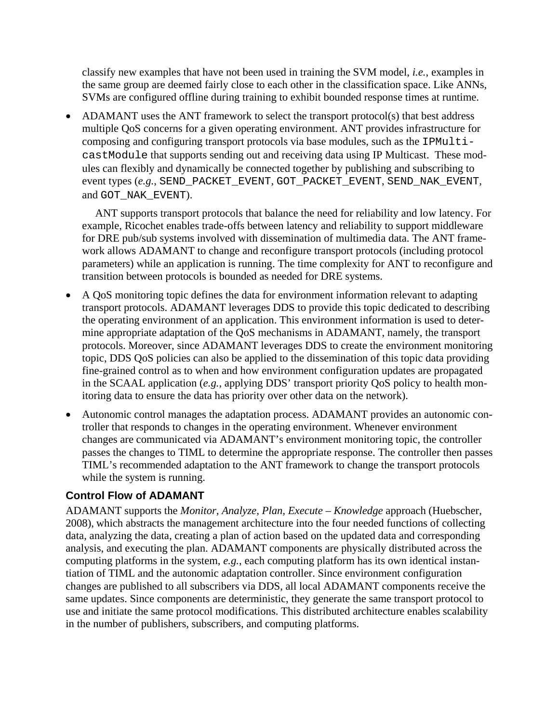classify new examples that have not been used in training the SVM model, *i.e.*, examples in the same group are deemed fairly close to each other in the classification space. Like ANNs, SVMs are configured offline during training to exhibit bounded response times at runtime.

• ADAMANT uses the ANT framework to select the transport protocol(s) that best address multiple QoS concerns for a given operating environment. ANT provides infrastructure for composing and configuring transport protocols via base modules, such as the IPMulticastModule that supports sending out and receiving data using IP Multicast. These modules can flexibly and dynamically be connected together by publishing and subscribing to event types (e.g., SEND\_PACKET\_EVENT, GOT\_PACKET\_EVENT, SEND\_NAK\_EVENT, and GOT\_NAK\_EVENT).

ANT supports transport protocols that balance the need for reliability and low latency. For example, Ricochet enables trade-offs between latency and reliability to support middleware for DRE pub/sub systems involved with dissemination of multimedia data. The ANT framework allows ADAMANT to change and reconfigure transport protocols (including protocol parameters) while an application is running. The time complexity for ANT to reconfigure and transition between protocols is bounded as needed for DRE systems.

- A QoS monitoring topic defines the data for environment information relevant to adapting transport protocols. ADAMANT leverages DDS to provide this topic dedicated to describing the operating environment of an application. This environment information is used to determine appropriate adaptation of the QoS mechanisms in ADAMANT, namely, the transport protocols. Moreover, since ADAMANT leverages DDS to create the environment monitoring topic, DDS QoS policies can also be applied to the dissemination of this topic data providing fine-grained control as to when and how environment configuration updates are propagated in the SCAAL application (*e.g.*, applying DDS' transport priority QoS policy to health monitoring data to ensure the data has priority over other data on the network).
- Autonomic control manages the adaptation process. ADAMANT provides an autonomic controller that responds to changes in the operating environment. Whenever environment changes are communicated via ADAMANT's environment monitoring topic, the controller passes the changes to TIML to determine the appropriate response. The controller then passes TIML's recommended adaptation to the ANT framework to change the transport protocols while the system is running.

# **Control Flow of ADAMANT**

ADAMANT supports the *Monitor, Analyze, Plan, Execute – Knowledge* approach (Huebscher, 2008), which abstracts the management architecture into the four needed functions of collecting data, analyzing the data, creating a plan of action based on the updated data and corresponding analysis, and executing the plan. ADAMANT components are physically distributed across the computing platforms in the system, *e.g.*, each computing platform has its own identical instantiation of TIML and the autonomic adaptation controller. Since environment configuration changes are published to all subscribers via DDS, all local ADAMANT components receive the same updates. Since components are deterministic, they generate the same transport protocol to use and initiate the same protocol modifications. This distributed architecture enables scalability in the number of publishers, subscribers, and computing platforms.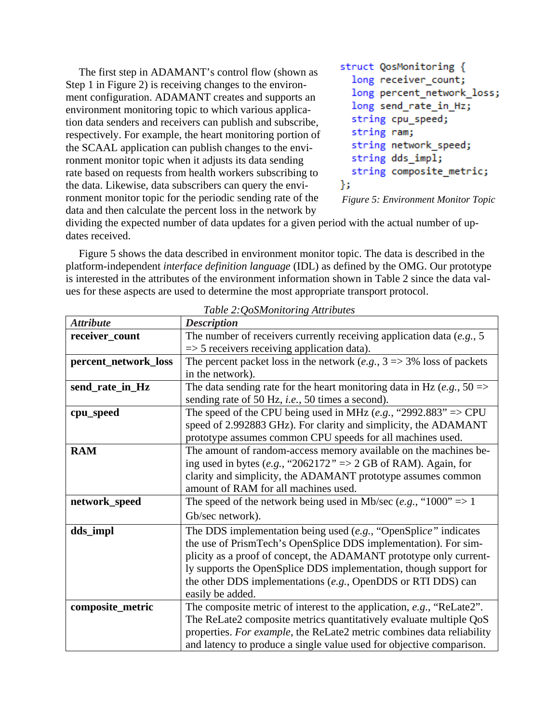The first step in ADAMANT's control flow (shown as Step 1 in [Figure 2\)](#page-5-0) is receiving changes to the environment configuration. ADAMANT creates and supports an environment monitoring topic to which various application data senders and receivers can publish and subscribe, respectively. For example, the heart monitoring portion of the SCAAL application can publish changes to the environment monitor topic when it adjusts its data sending rate based on requests from health workers subscribing to the data. Likewise, data subscribers can query the environment monitor topic for the periodic sending rate of the data and then calculate the percent loss in the network by

struct QosMonitoring { long receiver count; long percent\_network\_loss; long send rate in Hz; string cpu speed; string ram; string network\_speed; string dds impl; string composite metric; ١:

*Figure 5: Environment Monitor Topic*

dividing the expected number of data updates for a given period with the actual number of updates received.

Figure 5 shows the data described in environment monitor topic. The data is described in the platform-independent *interface definition language* (IDL) as defined by the OMG. Our prototype is interested in the attributes of the environment information shown in Table 2 since the data values for these aspects are used to determine the most appropriate transport protocol.

| <b>Attribute</b>     | <b>Description</b>                                                                |
|----------------------|-----------------------------------------------------------------------------------|
| receiver_count       | The number of receivers currently receiving application data $(e.g., 5)$          |
|                      | $\Rightarrow$ 5 receivers receiving application data).                            |
| percent_network_loss | The percent packet loss in the network (e.g., $3 \approx 3\%$ loss of packets     |
|                      | in the network).                                                                  |
| send_rate_in_Hz      | The data sending rate for the heart monitoring data in Hz (e.g., $50 \Rightarrow$ |
|                      | sending rate of 50 Hz, <i>i.e.</i> , 50 times a second).                          |
| cpu_speed            | The speed of the CPU being used in MHz (e.g., "2992.883" => CPU                   |
|                      | speed of 2.992883 GHz). For clarity and simplicity, the ADAMANT                   |
|                      | prototype assumes common CPU speeds for all machines used.                        |
| <b>RAM</b>           | The amount of random-access memory available on the machines be-                  |
|                      | ing used in bytes (e.g., "2062172" $\Rightarrow$ 2 GB of RAM). Again, for         |
|                      | clarity and simplicity, the ADAMANT prototype assumes common                      |
|                      | amount of RAM for all machines used.                                              |
| network_speed        | The speed of the network being used in Mb/sec $(e.g., "1000" \Rightarrow 1)$      |
|                      | Gb/sec network).                                                                  |
| dds_impl             | The DDS implementation being used (e.g., "OpenSplice" indicates                   |
|                      | the use of PrismTech's OpenSplice DDS implementation). For sim-                   |
|                      | plicity as a proof of concept, the ADAMANT prototype only current-                |
|                      | ly supports the OpenSplice DDS implementation, though support for                 |
|                      | the other DDS implementations (e.g., OpenDDS or RTI DDS) can                      |
|                      | easily be added.                                                                  |
| composite_metric     | The composite metric of interest to the application, e.g., "ReLate2".             |
|                      | The ReLate2 composite metrics quantitatively evaluate multiple QoS                |
|                      | properties. For example, the ReLate2 metric combines data reliability             |
|                      | and latency to produce a single value used for objective comparison.              |

*Table 2:QoSMonitoring Attributes*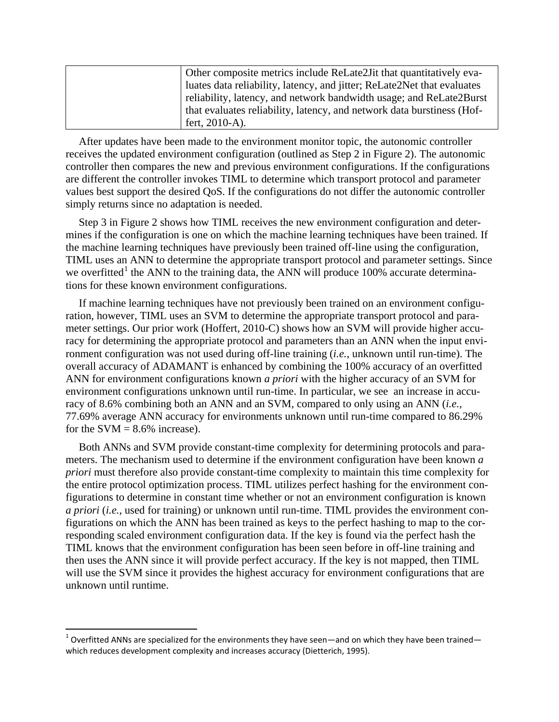| Other composite metrics include ReLate2Jit that quantitatively eva-     |
|-------------------------------------------------------------------------|
| luates data reliability, latency, and jitter; ReLate2Net that evaluates |
| reliability, latency, and network bandwidth usage; and ReLate2Burst     |
| that evaluates reliability, latency, and network data burstiness (Hof-  |
| fert, $2010-A$ ).                                                       |

After updates have been made to the environment monitor topic, the autonomic controller receives the updated environment configuration (outlined as Step 2 in [Figure 2\)](#page-5-0). The autonomic controller then compares the new and previous environment configurations. If the configurations are different the controller invokes TIML to determine which transport protocol and parameter values best support the desired QoS. If the configurations do not differ the autonomic controller simply returns since no adaptation is needed.

Step 3 in [Figure 2](#page-5-0) shows how TIML receives the new environment configuration and determines if the configuration is one on which the machine learning techniques have been trained. If the machine learning techniques have previously been trained off-line using the configuration, TIML uses an ANN to determine the appropriate transport protocol and parameter settings. Since we overfitted<sup>[1](#page-10-0)</sup> the ANN to the training data, the ANN will produce 100% accurate determinations for these known environment configurations.

If machine learning techniques have not previously been trained on an environment configuration, however, TIML uses an SVM to determine the appropriate transport protocol and parameter settings. Our prior work (Hoffert, 2010-C) shows how an SVM will provide higher accuracy for determining the appropriate protocol and parameters than an ANN when the input environment configuration was not used during off-line training (*i.e.*, unknown until run-time). The overall accuracy of ADAMANT is enhanced by combining the 100% accuracy of an overfitted ANN for environment configurations known *a priori* with the higher accuracy of an SVM for environment configurations unknown until run-time. In particular, we see an increase in accuracy of 8.6% combining both an ANN and an SVM, compared to only using an ANN (*i.e.*, 77.69% average ANN accuracy for environments unknown until run-time compared to 86.29% for the SVM  $= 8.6\%$  increase).

Both ANNs and SVM provide constant-time complexity for determining protocols and parameters. The mechanism used to determine if the environment configuration have been known *a priori* must therefore also provide constant-time complexity to maintain this time complexity for the entire protocol optimization process. TIML utilizes perfect hashing for the environment configurations to determine in constant time whether or not an environment configuration is known *a priori* (*i.e.*, used for training) or unknown until run-time. TIML provides the environment configurations on which the ANN has been trained as keys to the perfect hashing to map to the corresponding scaled environment configuration data. If the key is found via the perfect hash the TIML knows that the environment configuration has been seen before in off-line training and then uses the ANN since it will provide perfect accuracy. If the key is not mapped, then TIML will use the SVM since it provides the highest accuracy for environment configurations that are unknown until runtime.

<span id="page-10-0"></span> $1$  Overfitted ANNs are specialized for the environments they have seen—and on which they have been trained which reduces development complexity and increases accuracy (Dietterich, 1995).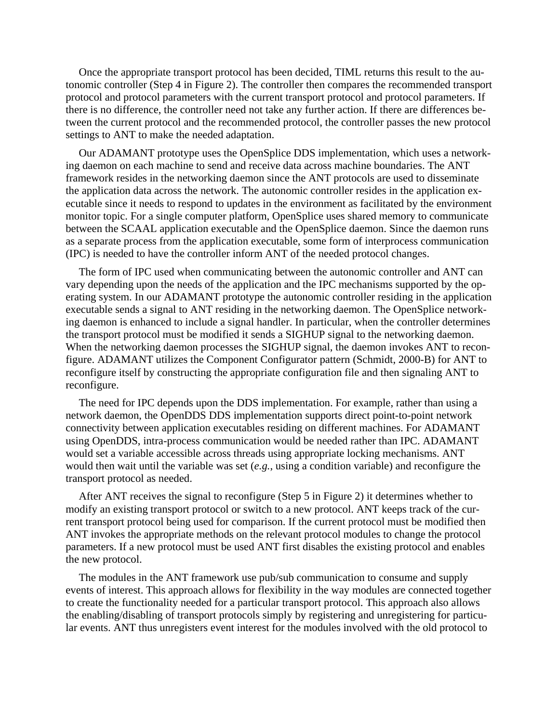Once the appropriate transport protocol has been decided, TIML returns this result to the autonomic controller (Step 4 in [Figure 2\)](#page-5-0). The controller then compares the recommended transport protocol and protocol parameters with the current transport protocol and protocol parameters. If there is no difference, the controller need not take any further action. If there are differences between the current protocol and the recommended protocol, the controller passes the new protocol settings to ANT to make the needed adaptation.

Our ADAMANT prototype uses the OpenSplice DDS implementation, which uses a networking daemon on each machine to send and receive data across machine boundaries. The ANT framework resides in the networking daemon since the ANT protocols are used to disseminate the application data across the network. The autonomic controller resides in the application executable since it needs to respond to updates in the environment as facilitated by the environment monitor topic. For a single computer platform, OpenSplice uses shared memory to communicate between the SCAAL application executable and the OpenSplice daemon. Since the daemon runs as a separate process from the application executable, some form of interprocess communication (IPC) is needed to have the controller inform ANT of the needed protocol changes.

The form of IPC used when communicating between the autonomic controller and ANT can vary depending upon the needs of the application and the IPC mechanisms supported by the operating system. In our ADAMANT prototype the autonomic controller residing in the application executable sends a signal to ANT residing in the networking daemon. The OpenSplice networking daemon is enhanced to include a signal handler. In particular, when the controller determines the transport protocol must be modified it sends a SIGHUP signal to the networking daemon. When the networking daemon processes the SIGHUP signal, the daemon invokes ANT to reconfigure. ADAMANT utilizes the Component Configurator pattern (Schmidt, 2000-B) for ANT to reconfigure itself by constructing the appropriate configuration file and then signaling ANT to reconfigure.

The need for IPC depends upon the DDS implementation. For example, rather than using a network daemon, the OpenDDS DDS implementation supports direct point-to-point network connectivity between application executables residing on different machines. For ADAMANT using OpenDDS, intra-process communication would be needed rather than IPC. ADAMANT would set a variable accessible across threads using appropriate locking mechanisms. ANT would then wait until the variable was set (*e.g.*, using a condition variable) and reconfigure the transport protocol as needed.

After ANT receives the signal to reconfigure (Step 5 in [Figure 2\)](#page-5-0) it determines whether to modify an existing transport protocol or switch to a new protocol. ANT keeps track of the current transport protocol being used for comparison. If the current protocol must be modified then ANT invokes the appropriate methods on the relevant protocol modules to change the protocol parameters. If a new protocol must be used ANT first disables the existing protocol and enables the new protocol.

The modules in the ANT framework use pub/sub communication to consume and supply events of interest. This approach allows for flexibility in the way modules are connected together to create the functionality needed for a particular transport protocol. This approach also allows the enabling/disabling of transport protocols simply by registering and unregistering for particular events. ANT thus unregisters event interest for the modules involved with the old protocol to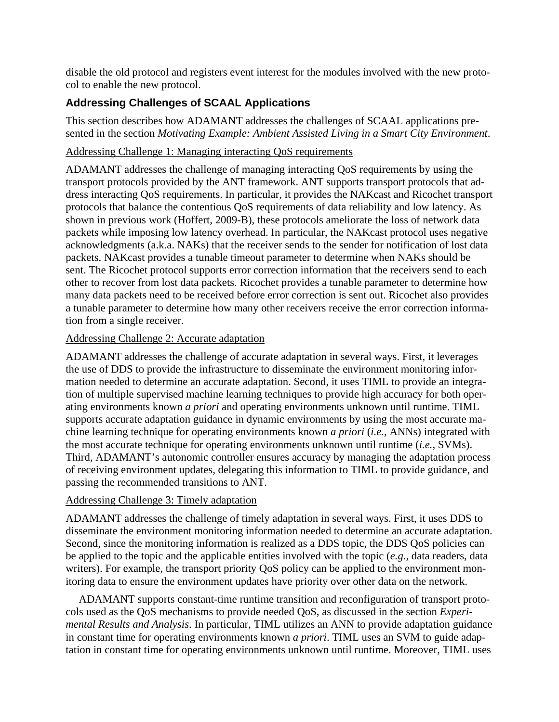disable the old protocol and registers event interest for the modules involved with the new protocol to enable the new protocol.

# **Addressing Challenges of SCAAL Applications**

This section describes how ADAMANT addresses the challenges of SCAAL applications presented in the section *Motivating Example: Ambient Assisted Living in a Smart City Environment*.

## Addressing Challenge 1: Managing interacting QoS requirements

ADAMANT addresses the challenge of managing interacting QoS requirements by using the transport protocols provided by the ANT framework. ANT supports transport protocols that address interacting QoS requirements. In particular, it provides the NAKcast and Ricochet transport protocols that balance the contentious QoS requirements of data reliability and low latency. As shown in previous work (Hoffert, 2009-B), these protocols ameliorate the loss of network data packets while imposing low latency overhead. In particular, the NAKcast protocol uses negative acknowledgments (a.k.a. NAKs) that the receiver sends to the sender for notification of lost data packets. NAKcast provides a tunable timeout parameter to determine when NAKs should be sent. The Ricochet protocol supports error correction information that the receivers send to each other to recover from lost data packets. Ricochet provides a tunable parameter to determine how many data packets need to be received before error correction is sent out. Ricochet also provides a tunable parameter to determine how many other receivers receive the error correction information from a single receiver.

#### Addressing Challenge 2: Accurate adaptation

ADAMANT addresses the challenge of accurate adaptation in several ways. First, it leverages the use of DDS to provide the infrastructure to disseminate the environment monitoring information needed to determine an accurate adaptation. Second, it uses TIML to provide an integration of multiple supervised machine learning techniques to provide high accuracy for both operating environments known *a priori* and operating environments unknown until runtime. TIML supports accurate adaptation guidance in dynamic environments by using the most accurate machine learning technique for operating environments known *a priori* (*i.e.*, ANNs) integrated with the most accurate technique for operating environments unknown until runtime (*i.e.*, SVMs). Third, ADAMANT's autonomic controller ensures accuracy by managing the adaptation process of receiving environment updates, delegating this information to TIML to provide guidance, and passing the recommended transitions to ANT.

## Addressing Challenge 3: Timely adaptation

ADAMANT addresses the challenge of timely adaptation in several ways. First, it uses DDS to disseminate the environment monitoring information needed to determine an accurate adaptation. Second, since the monitoring information is realized as a DDS topic, the DDS QoS policies can be applied to the topic and the applicable entities involved with the topic (*e.g.*, data readers, data writers). For example, the transport priority QoS policy can be applied to the environment monitoring data to ensure the environment updates have priority over other data on the network.

ADAMANT supports constant-time runtime transition and reconfiguration of transport protocols used as the QoS mechanisms to provide needed QoS, as discussed in the section *Experimental Results and Analysis*. In particular, TIML utilizes an ANN to provide adaptation guidance in constant time for operating environments known *a priori*. TIML uses an SVM to guide adaptation in constant time for operating environments unknown until runtime. Moreover, TIML uses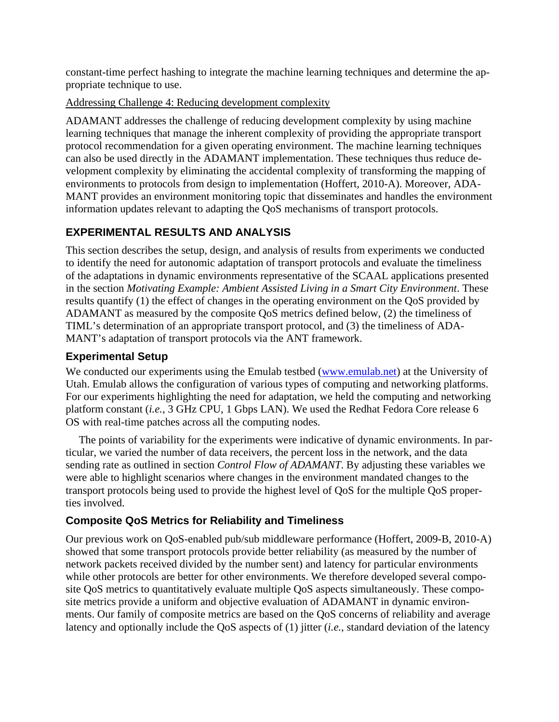constant-time perfect hashing to integrate the machine learning techniques and determine the appropriate technique to use.

## Addressing Challenge 4: Reducing development complexity

ADAMANT addresses the challenge of reducing development complexity by using machine learning techniques that manage the inherent complexity of providing the appropriate transport protocol recommendation for a given operating environment. The machine learning techniques can also be used directly in the ADAMANT implementation. These techniques thus reduce development complexity by eliminating the accidental complexity of transforming the mapping of environments to protocols from design to implementation (Hoffert, 2010-A). Moreover, ADA-MANT provides an environment monitoring topic that disseminates and handles the environment information updates relevant to adapting the QoS mechanisms of transport protocols.

# **EXPERIMENTAL RESULTS AND ANALYSIS**

This section describes the setup, design, and analysis of results from experiments we conducted to identify the need for autonomic adaptation of transport protocols and evaluate the timeliness of the adaptations in dynamic environments representative of the SCAAL applications presented in the section *Motivating Example: Ambient Assisted Living in a Smart City Environment*. These results quantify (1) the effect of changes in the operating environment on the QoS provided by ADAMANT as measured by the composite QoS metrics defined below, (2) the timeliness of TIML's determination of an appropriate transport protocol, and (3) the timeliness of ADA-MANT's adaptation of transport protocols via the ANT framework.

# **Experimental Setup**

We conducted our experiments using the Emulab testbed [\(www.emulab.net\)](http://www.emulab.net/) at the University of Utah. Emulab allows the configuration of various types of computing and networking platforms. For our experiments highlighting the need for adaptation, we held the computing and networking platform constant (*i.e.*, 3 GHz CPU, 1 Gbps LAN). We used the Redhat Fedora Core release 6 OS with real-time patches across all the computing nodes.

The points of variability for the experiments were indicative of dynamic environments. In particular, we varied the number of data receivers, the percent loss in the network, and the data sending rate as outlined in section *Control Flow of ADAMANT*. By adjusting these variables we were able to highlight scenarios where changes in the environment mandated changes to the transport protocols being used to provide the highest level of QoS for the multiple QoS properties involved.

# **Composite QoS Metrics for Reliability and Timeliness**

Our previous work on QoS-enabled pub/sub middleware performance (Hoffert, 2009-B, 2010-A) showed that some transport protocols provide better reliability (as measured by the number of network packets received divided by the number sent) and latency for particular environments while other protocols are better for other environments. We therefore developed several composite QoS metrics to quantitatively evaluate multiple QoS aspects simultaneously. These composite metrics provide a uniform and objective evaluation of ADAMANT in dynamic environments. Our family of composite metrics are based on the QoS concerns of reliability and average latency and optionally include the QoS aspects of (1) jitter (*i.e.*, standard deviation of the latency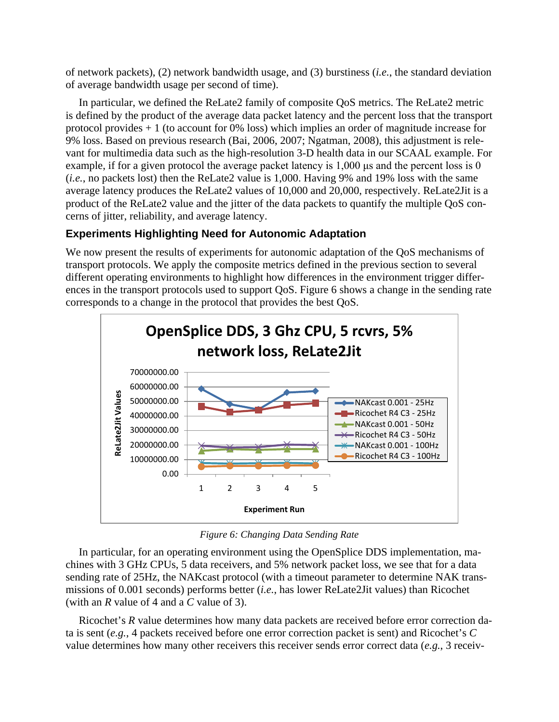of network packets), (2) network bandwidth usage, and (3) burstiness (*i.e.*, the standard deviation of average bandwidth usage per second of time).

In particular, we defined the ReLate2 family of composite QoS metrics. The ReLate2 metric is defined by the product of the average data packet latency and the percent loss that the transport protocol provides + 1 (to account for 0% loss) which implies an order of magnitude increase for 9% loss. Based on previous research (Bai, 2006, 2007; Ngatman, 2008), this adjustment is relevant for multimedia data such as the high-resolution 3-D health data in our SCAAL example. For example, if for a given protocol the average packet latency is 1,000 μs and the percent loss is 0 (*i.e.*, no packets lost) then the ReLate2 value is 1,000. Having 9% and 19% loss with the same average latency produces the ReLate2 values of 10,000 and 20,000, respectively. ReLate2Jit is a product of the ReLate2 value and the jitter of the data packets to quantify the multiple QoS concerns of jitter, reliability, and average latency.

# **Experiments Highlighting Need for Autonomic Adaptation**

We now present the results of experiments for autonomic adaptation of the QoS mechanisms of transport protocols. We apply the composite metrics defined in the previous section to several different operating environments to highlight how differences in the environment trigger differences in the transport protocols used to support QoS. [Figure 6](#page-14-0) shows a change in the sending rate corresponds to a change in the protocol that provides the best QoS.



*Figure 6: Changing Data Sending Rate*

<span id="page-14-0"></span>In particular, for an operating environment using the OpenSplice DDS implementation, machines with 3 GHz CPUs, 5 data receivers, and 5% network packet loss, we see that for a data sending rate of 25Hz, the NAKcast protocol (with a timeout parameter to determine NAK transmissions of 0.001 seconds) performs better (*i.e.*, has lower ReLate2Jit values) than Ricochet (with an *R* value of 4 and a *C* value of 3).

Ricochet's *R* value determines how many data packets are received before error correction data is sent (*e.g.*, 4 packets received before one error correction packet is sent) and Ricochet's *C* value determines how many other receivers this receiver sends error correct data (*e.g.*, 3 receiv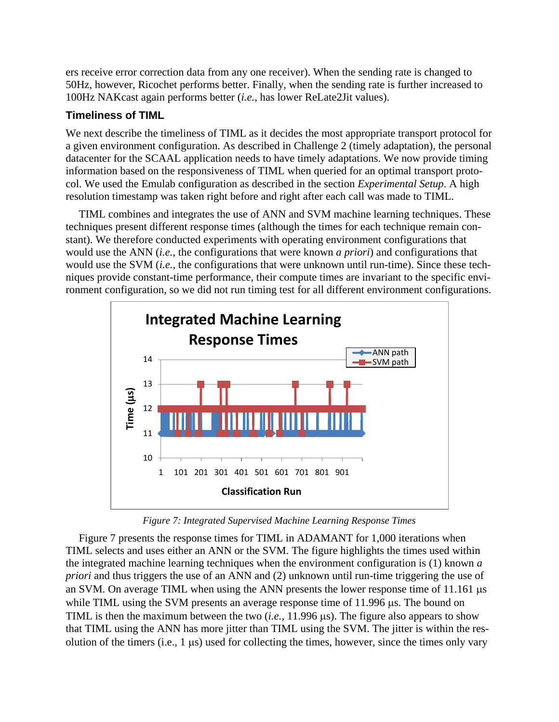ers receive error correction data from any one receiver). When the sending rate is changed to 50Hz, however, Ricochet performs better. Finally, when the sending rate is further increased to 100Hz NAKcast again performs better (*i.e.*, has lower ReLate2Jit values).

## **Timeliness of TIML**

We next describe the timeliness of TIML as it decides the most appropriate transport protocol for a given environment configuration. As described in Challenge 2 (timely adaptation), the personal datacenter for the SCAAL application needs to have timely adaptations. We now provide timing information based on the responsiveness of TIML when queried for an optimal transport protocol. We used the Emulab configuration as described in the section *Experimental Setup*. A high resolution timestamp was taken right before and right after each call was made to TIML.

TIML combines and integrates the use of ANN and SVM machine learning techniques. These techniques present different response times (although the times for each technique remain constant). We therefore conducted experiments with operating environment configurations that would use the ANN (*i.e.*, the configurations that were known *a priori*) and configurations that would use the SVM (*i.e.*, the configurations that were unknown until run-time). Since these techniques provide constant-time performance, their compute times are invariant to the specific environment configuration, so we did not run timing test for all different environment configurations.



*Figure 7: Integrated Supervised Machine Learning Response Times*

<span id="page-15-0"></span>[Figure 7](#page-15-0) presents the response times for TIML in ADAMANT for 1,000 iterations when TIML selects and uses either an ANN or the SVM. The figure highlights the times used within the integrated machine learning techniques when the environment configuration is (1) known *a priori* and thus triggers the use of an ANN and (2) unknown until run-time triggering the use of an SVM. On average TIML when using the ANN presents the lower response time of 11.161 µs while TIML using the SVM presents an average response time of 11.996 µs. The bound on TIML is then the maximum between the two (*i.e.*, 11.996  $\mu$ s). The figure also appears to show that TIML using the ANN has more jitter than TIML using the SVM. The jitter is within the resolution of the timers (i.e.,  $1 \mu s$ ) used for collecting the times, however, since the times only vary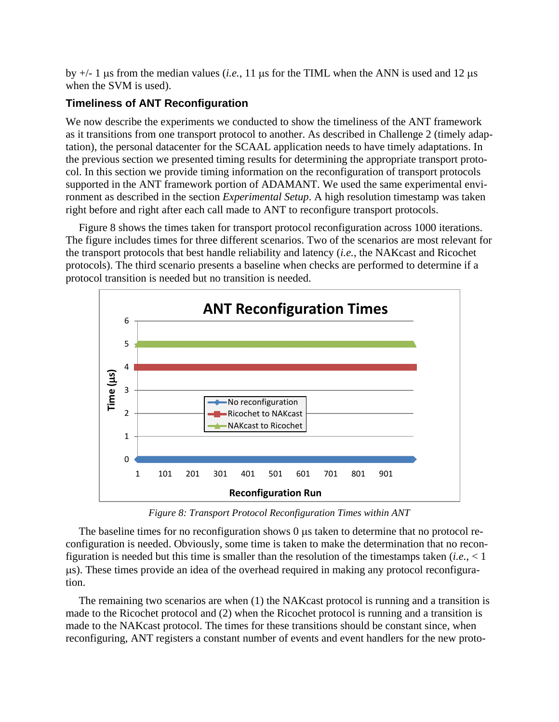by  $+/- 1$  µs from the median values (*i.e.*, 11 µs for the TIML when the ANN is used and 12 µs when the SVM is used).

#### **Timeliness of ANT Reconfiguration**

We now describe the experiments we conducted to show the timeliness of the ANT framework as it transitions from one transport protocol to another. As described in Challenge 2 (timely adaptation), the personal datacenter for the SCAAL application needs to have timely adaptations. In the previous section we presented timing results for determining the appropriate transport protocol. In this section we provide timing information on the reconfiguration of transport protocols supported in the ANT framework portion of ADAMANT. We used the same experimental environment as described in the section *Experimental Setup*. A high resolution timestamp was taken right before and right after each call made to ANT to reconfigure transport protocols.

[Figure 8](#page-16-0) shows the times taken for transport protocol reconfiguration across 1000 iterations. The figure includes times for three different scenarios. Two of the scenarios are most relevant for the transport protocols that best handle reliability and latency (*i.e.*, the NAKcast and Ricochet protocols). The third scenario presents a baseline when checks are performed to determine if a protocol transition is needed but no transition is needed.



*Figure 8: Transport Protocol Reconfiguration Times within ANT*

<span id="page-16-0"></span>The baseline times for no reconfiguration shows 0  $\mu$ s taken to determine that no protocol reconfiguration is needed. Obviously, some time is taken to make the determination that no reconfiguration is needed but this time is smaller than the resolution of the timestamps taken (*i.e.*, < 1 µs). These times provide an idea of the overhead required in making any protocol reconfiguration.

The remaining two scenarios are when (1) the NAKcast protocol is running and a transition is made to the Ricochet protocol and (2) when the Ricochet protocol is running and a transition is made to the NAKcast protocol. The times for these transitions should be constant since, when reconfiguring, ANT registers a constant number of events and event handlers for the new proto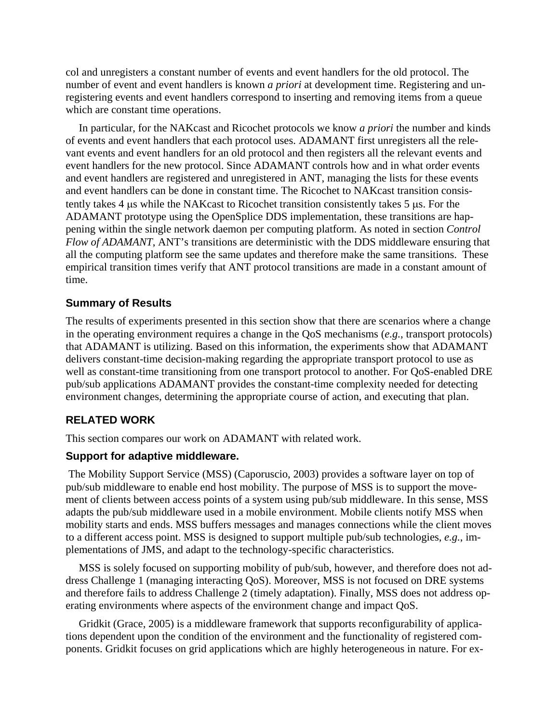col and unregisters a constant number of events and event handlers for the old protocol. The number of event and event handlers is known *a priori* at development time. Registering and unregistering events and event handlers correspond to inserting and removing items from a queue which are constant time operations.

In particular, for the NAKcast and Ricochet protocols we know *a priori* the number and kinds of events and event handlers that each protocol uses. ADAMANT first unregisters all the relevant events and event handlers for an old protocol and then registers all the relevant events and event handlers for the new protocol. Since ADAMANT controls how and in what order events and event handlers are registered and unregistered in ANT, managing the lists for these events and event handlers can be done in constant time. The Ricochet to NAKcast transition consistently takes 4 µs while the NAKcast to Ricochet transition consistently takes 5 µs. For the ADAMANT prototype using the OpenSplice DDS implementation, these transitions are happening within the single network daemon per computing platform. As noted in section *Control Flow of ADAMANT*, ANT's transitions are deterministic with the DDS middleware ensuring that all the computing platform see the same updates and therefore make the same transitions. These empirical transition times verify that ANT protocol transitions are made in a constant amount of time.

## **Summary of Results**

The results of experiments presented in this section show that there are scenarios where a change in the operating environment requires a change in the QoS mechanisms (*e.g.*, transport protocols) that ADAMANT is utilizing. Based on this information, the experiments show that ADAMANT delivers constant-time decision-making regarding the appropriate transport protocol to use as well as constant-time transitioning from one transport protocol to another. For QoS-enabled DRE pub/sub applications ADAMANT provides the constant-time complexity needed for detecting environment changes, determining the appropriate course of action, and executing that plan.

# **RELATED WORK**

This section compares our work on ADAMANT with related work.

# **Support for adaptive middleware.**

The Mobility Support Service (MSS) (Caporuscio, 2003) provides a software layer on top of pub/sub middleware to enable end host mobility. The purpose of MSS is to support the movement of clients between access points of a system using pub/sub middleware. In this sense, MSS adapts the pub/sub middleware used in a mobile environment. Mobile clients notify MSS when mobility starts and ends. MSS buffers messages and manages connections while the client moves to a different access point. MSS is designed to support multiple pub/sub technologies, *e.g.*, implementations of JMS, and adapt to the technology-specific characteristics.

MSS is solely focused on supporting mobility of pub/sub, however, and therefore does not address Challenge 1 (managing interacting QoS). Moreover, MSS is not focused on DRE systems and therefore fails to address Challenge 2 (timely adaptation). Finally, MSS does not address operating environments where aspects of the environment change and impact QoS.

Gridkit (Grace, 2005) is a middleware framework that supports reconfigurability of applications dependent upon the condition of the environment and the functionality of registered components. Gridkit focuses on grid applications which are highly heterogeneous in nature. For ex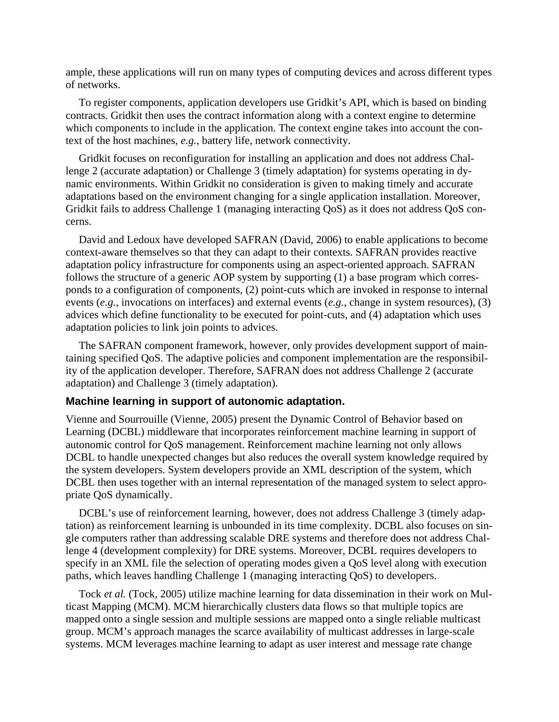ample, these applications will run on many types of computing devices and across different types of networks.

To register components, application developers use Gridkit's API, which is based on binding contracts. Gridkit then uses the contract information along with a context engine to determine which components to include in the application. The context engine takes into account the context of the host machines, *e.g.*, battery life, network connectivity.

Gridkit focuses on reconfiguration for installing an application and does not address Challenge 2 (accurate adaptation) or Challenge 3 (timely adaptation) for systems operating in dynamic environments. Within Gridkit no consideration is given to making timely and accurate adaptations based on the environment changing for a single application installation. Moreover, Gridkit fails to address Challenge 1 (managing interacting QoS) as it does not address QoS concerns.

David and Ledoux have developed SAFRAN (David, 2006) to enable applications to become context-aware themselves so that they can adapt to their contexts. SAFRAN provides reactive adaptation policy infrastructure for components using an aspect-oriented approach. SAFRAN follows the structure of a generic AOP system by supporting (1) a base program which corresponds to a configuration of components, (2) point-cuts which are invoked in response to internal events (*e.g.*, invocations on interfaces) and external events (*e.g.*, change in system resources), (3) advices which define functionality to be executed for point-cuts, and (4) adaptation which uses adaptation policies to link join points to advices.

The SAFRAN component framework, however, only provides development support of maintaining specified QoS. The adaptive policies and component implementation are the responsibility of the application developer. Therefore, SAFRAN does not address Challenge 2 (accurate adaptation) and Challenge 3 (timely adaptation).

#### **Machine learning in support of autonomic adaptation.**

Vienne and Sourrouille (Vienne, 2005) present the Dynamic Control of Behavior based on Learning (DCBL) middleware that incorporates reinforcement machine learning in support of autonomic control for QoS management. Reinforcement machine learning not only allows DCBL to handle unexpected changes but also reduces the overall system knowledge required by the system developers. System developers provide an XML description of the system, which DCBL then uses together with an internal representation of the managed system to select appropriate QoS dynamically.

DCBL's use of reinforcement learning, however, does not address Challenge 3 (timely adaptation) as reinforcement learning is unbounded in its time complexity. DCBL also focuses on single computers rather than addressing scalable DRE systems and therefore does not address Challenge 4 (development complexity) for DRE systems. Moreover, DCBL requires developers to specify in an XML file the selection of operating modes given a QoS level along with execution paths, which leaves handling Challenge 1 (managing interacting QoS) to developers.

Tock *et al.* (Tock, 2005) utilize machine learning for data dissemination in their work on Multicast Mapping (MCM). MCM hierarchically clusters data flows so that multiple topics are mapped onto a single session and multiple sessions are mapped onto a single reliable multicast group. MCM's approach manages the scarce availability of multicast addresses in large-scale systems. MCM leverages machine learning to adapt as user interest and message rate change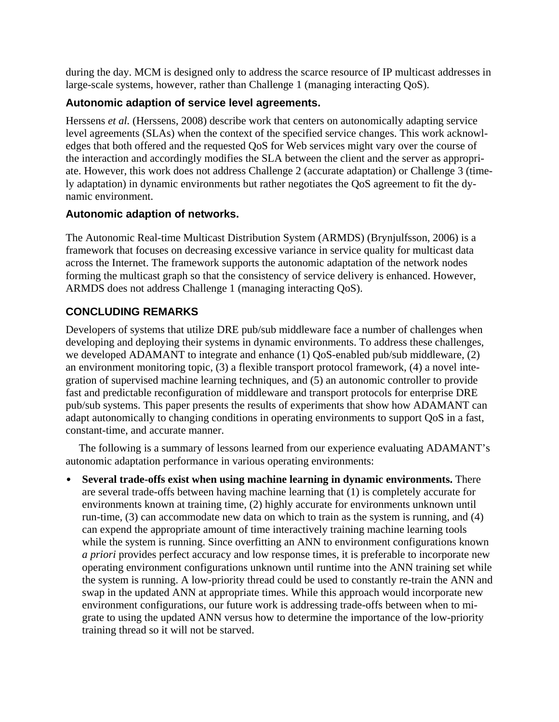during the day. MCM is designed only to address the scarce resource of IP multicast addresses in large-scale systems, however, rather than Challenge 1 (managing interacting QoS).

## **Autonomic adaption of service level agreements.**

Herssens *et al.* (Herssens, 2008) describe work that centers on autonomically adapting service level agreements (SLAs) when the context of the specified service changes. This work acknowledges that both offered and the requested QoS for Web services might vary over the course of the interaction and accordingly modifies the SLA between the client and the server as appropriate. However, this work does not address Challenge 2 (accurate adaptation) or Challenge 3 (timely adaptation) in dynamic environments but rather negotiates the QoS agreement to fit the dynamic environment.

## **Autonomic adaption of networks.**

The Autonomic Real-time Multicast Distribution System (ARMDS) (Brynjulfsson, 2006) is a framework that focuses on decreasing excessive variance in service quality for multicast data across the Internet. The framework supports the autonomic adaptation of the network nodes forming the multicast graph so that the consistency of service delivery is enhanced. However, ARMDS does not address Challenge 1 (managing interacting QoS).

# **CONCLUDING REMARKS**

Developers of systems that utilize DRE pub/sub middleware face a number of challenges when developing and deploying their systems in dynamic environments. To address these challenges, we developed ADAMANT to integrate and enhance (1) QoS-enabled pub/sub middleware, (2) an environment monitoring topic, (3) a flexible transport protocol framework, (4) a novel integration of supervised machine learning techniques, and (5) an autonomic controller to provide fast and predictable reconfiguration of middleware and transport protocols for enterprise DRE pub/sub systems. This paper presents the results of experiments that show how ADAMANT can adapt autonomically to changing conditions in operating environments to support QoS in a fast, constant-time, and accurate manner.

The following is a summary of lessons learned from our experience evaluating ADAMANT's autonomic adaptation performance in various operating environments:

*•* **Several trade-offs exist when using machine learning in dynamic environments.** There are several trade-offs between having machine learning that (1) is completely accurate for environments known at training time, (2) highly accurate for environments unknown until run-time, (3) can accommodate new data on which to train as the system is running, and (4) can expend the appropriate amount of time interactively training machine learning tools while the system is running. Since overfitting an ANN to environment configurations known *a priori* provides perfect accuracy and low response times, it is preferable to incorporate new operating environment configurations unknown until runtime into the ANN training set while the system is running. A low-priority thread could be used to constantly re-train the ANN and swap in the updated ANN at appropriate times. While this approach would incorporate new environment configurations, our future work is addressing trade-offs between when to migrate to using the updated ANN versus how to determine the importance of the low-priority training thread so it will not be starved.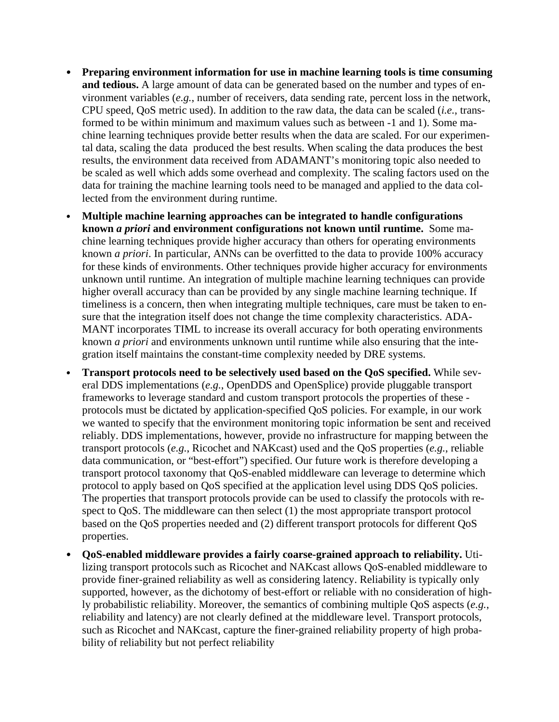- *•* **Preparing environment information for use in machine learning tools is time consuming and tedious.** A large amount of data can be generated based on the number and types of environment variables (*e.g.*, number of receivers, data sending rate, percent loss in the network, CPU speed, QoS metric used). In addition to the raw data, the data can be scaled (*i.e.*, transformed to be within minimum and maximum values such as between -1 and 1). Some machine learning techniques provide better results when the data are scaled. For our experimental data, scaling the data produced the best results. When scaling the data produces the best results, the environment data received from ADAMANT's monitoring topic also needed to be scaled as well which adds some overhead and complexity. The scaling factors used on the data for training the machine learning tools need to be managed and applied to the data collected from the environment during runtime.
- *•* **Multiple machine learning approaches can be integrated to handle configurations known** *a priori* **and environment configurations not known until runtime.** Some machine learning techniques provide higher accuracy than others for operating environments known *a priori*. In particular, ANNs can be overfitted to the data to provide 100% accuracy for these kinds of environments. Other techniques provide higher accuracy for environments unknown until runtime. An integration of multiple machine learning techniques can provide higher overall accuracy than can be provided by any single machine learning technique. If timeliness is a concern, then when integrating multiple techniques, care must be taken to ensure that the integration itself does not change the time complexity characteristics. ADA-MANT incorporates TIML to increase its overall accuracy for both operating environments known *a priori* and environments unknown until runtime while also ensuring that the integration itself maintains the constant-time complexity needed by DRE systems.
- *•* **Transport protocols need to be selectively used based on the QoS specified.** While several DDS implementations (*e.g.*, OpenDDS and OpenSplice) provide pluggable transport frameworks to leverage standard and custom transport protocols the properties of these protocols must be dictated by application-specified QoS policies. For example, in our work we wanted to specify that the environment monitoring topic information be sent and received reliably. DDS implementations, however, provide no infrastructure for mapping between the transport protocols (*e.g.*, Ricochet and NAKcast) used and the QoS properties (*e.g.*, reliable data communication, or "best-effort") specified. Our future work is therefore developing a transport protocol taxonomy that QoS-enabled middleware can leverage to determine which protocol to apply based on QoS specified at the application level using DDS QoS policies. The properties that transport protocols provide can be used to classify the protocols with respect to QoS. The middleware can then select (1) the most appropriate transport protocol based on the QoS properties needed and (2) different transport protocols for different QoS properties.
- *•* **QoS-enabled middleware provides a fairly coarse-grained approach to reliability.** Utilizing transport protocols such as Ricochet and NAKcast allows QoS-enabled middleware to provide finer-grained reliability as well as considering latency. Reliability is typically only supported, however, as the dichotomy of best-effort or reliable with no consideration of highly probabilistic reliability. Moreover, the semantics of combining multiple QoS aspects (*e.g.*, reliability and latency) are not clearly defined at the middleware level. Transport protocols, such as Ricochet and NAKcast, capture the finer-grained reliability property of high probability of reliability but not perfect reliability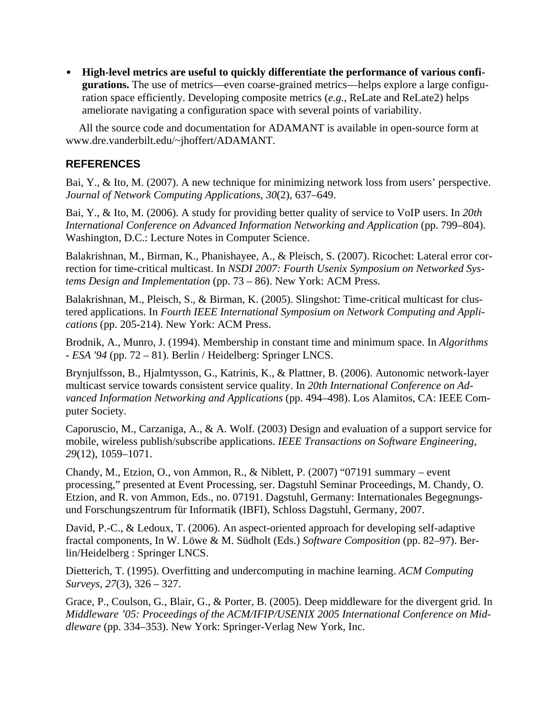*•* **High-level metrics are useful to quickly differentiate the performance of various configurations.** The use of metrics—even coarse-grained metrics—helps explore a large configuration space efficiently. Developing composite metrics (*e.g.*, ReLate and ReLate2) helps ameliorate navigating a configuration space with several points of variability.

All the source code and documentation for ADAMANT is available in open-source form at www.dre.vanderbilt.edu/~jhoffert/ADAMANT.

## **REFERENCES**

Bai, Y., & Ito, M. (2007). A new technique for minimizing network loss from users' perspective. *Journal of Network Computing Applications, 30*(2), 637–649.

Bai, Y., & Ito, M. (2006). A study for providing better quality of service to VoIP users. In *20th International Conference on Advanced Information Networking and Application* (pp. 799–804). Washington, D.C.: Lecture Notes in Computer Science.

Balakrishnan, M., Birman, K., Phanishayee, A., & Pleisch, S. (2007). Ricochet: Lateral error correction for time-critical multicast. In *NSDI 2007: Fourth Usenix Symposium on Networked Systems Design and Implementation* (pp. 73 – 86). New York: ACM Press.

Balakrishnan, M., Pleisch, S., & Birman, K. (2005). Slingshot: Time-critical multicast for clustered applications. In *Fourth IEEE International Symposium on Network Computing and Applications* (pp. 205-214). New York: ACM Press.

Brodnik, A., Munro, J. (1994). Membership in constant time and minimum space. In *Algorithms - ESA '94* (pp. 72 – 81). Berlin / Heidelberg: Springer LNCS.

Brynjulfsson, B., Hjalmtysson, G., Katrinis, K., & Plattner, B. (2006). Autonomic network-layer multicast service towards consistent service quality. In *20th International Conference on Advanced Information Networking and Applications* (pp. 494–498). Los Alamitos, CA: IEEE Computer Society.

Caporuscio, M., Carzaniga, A., & A. Wolf. (2003) Design and evaluation of a support service for mobile, wireless publish/subscribe applications. *IEEE Transactions on Software Engineering, 29*(12), 1059–1071.

Chandy, M., Etzion, O., von Ammon, R., & Niblett, P. (2007) "07191 summary – event processing," presented at Event Processing, ser. Dagstuhl Seminar Proceedings, M. Chandy, O. Etzion, and R. von Ammon, Eds., no. 07191. Dagstuhl, Germany: Internationales Begegnungsund Forschungszentrum für Informatik (IBFI), Schloss Dagstuhl, Germany, 2007.

David, P.-C., & Ledoux, T. (2006). An aspect-oriented approach for developing self-adaptive fractal components, In W. Löwe & M. Südholt (Eds.) *Software Composition* (pp. 82–97). Berlin/Heidelberg : Springer LNCS.

Dietterich, T. (1995). Overfitting and undercomputing in machine learning. *ACM Computing Surveys, 27*(3), 326 – 327.

Grace, P., Coulson, G., Blair, G., & Porter, B. (2005). Deep middleware for the divergent grid. In *Middleware '05: Proceedings of the ACM/IFIP/USENIX 2005 International Conference on Middleware* (pp. 334–353). New York: Springer-Verlag New York, Inc.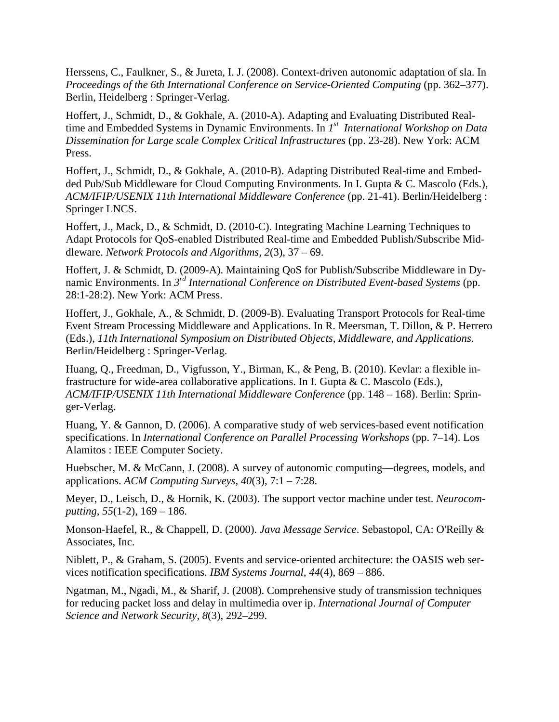Herssens, C., Faulkner, S., & Jureta, I. J. (2008). Context-driven autonomic adaptation of sla. In *Proceedings of the 6th International Conference on Service-Oriented Computing* (pp. 362–377). Berlin, Heidelberg : Springer-Verlag.

Hoffert, J., Schmidt, D., & Gokhale, A. (2010-A). Adapting and Evaluating Distributed Realtime and Embedded Systems in Dynamic Environments. In *1st International Workshop on Data Dissemination for Large scale Complex Critical Infrastructures* (pp. 23-28). New York: ACM Press.

Hoffert, J., Schmidt, D., & Gokhale, A. (2010-B). Adapting Distributed Real-time and Embedded Pub/Sub Middleware for Cloud Computing Environments. In I. Gupta & C. Mascolo (Eds.), *ACM/IFIP/USENIX 11th International Middleware Conference* (pp. 21-41). Berlin/Heidelberg : Springer LNCS.

Hoffert, J., Mack, D., & Schmidt, D. (2010-C). Integrating Machine Learning Techniques to Adapt Protocols for QoS-enabled Distributed Real-time and Embedded Publish/Subscribe Middleware. *Network Protocols and Algorithms, 2*(3), 37 – 69.

Hoffert, J. & Schmidt, D. (2009-A). Maintaining QoS for Publish/Subscribe Middleware in Dynamic Environments. In *3rd International Conference on Distributed Event-based Systems* (pp. 28:1-28:2). New York: ACM Press.

Hoffert, J., Gokhale, A., & Schmidt, D. (2009-B). Evaluating Transport Protocols for Real-time Event Stream Processing Middleware and Applications. In R. Meersman, T. Dillon, & P. Herrero (Eds.), *11th International Symposium on Distributed Objects, Middleware, and Applications*. Berlin/Heidelberg : Springer-Verlag.

Huang, Q., Freedman, D., Vigfusson, Y., Birman, K., & Peng, B. (2010). Kevlar: a flexible infrastructure for wide-area collaborative applications. In I. Gupta & C. Mascolo (Eds.), *ACM/IFIP/USENIX 11th International Middleware Conference* (pp. 148 – 168). Berlin: Springer-Verlag.

Huang, Y. & Gannon, D. (2006). A comparative study of web services-based event notification specifications. In *International Conference on Parallel Processing Workshops* (pp. 7–14). Los Alamitos : IEEE Computer Society.

Huebscher, M. & McCann, J. (2008). A survey of autonomic computing—degrees, models, and applications. *ACM Computing Surveys, 40*(3), 7:1 – 7:28.

Meyer, D., Leisch, D., & Hornik, K. (2003). The support vector machine under test. *Neurocomputting, 55*(1-2), 169 – 186.

Monson-Haefel, R., & Chappell, D. (2000). *Java Message Service*. Sebastopol, CA: O'Reilly & Associates, Inc.

Niblett, P., & Graham, S. (2005). Events and service-oriented architecture: the OASIS web services notification specifications. *IBM Systems Journal, 44*(4), 869 – 886.

Ngatman, M., Ngadi, M., & Sharif, J. (2008). Comprehensive study of transmission techniques for reducing packet loss and delay in multimedia over ip. *International Journal of Computer Science and Network Security, 8*(3), 292–299.